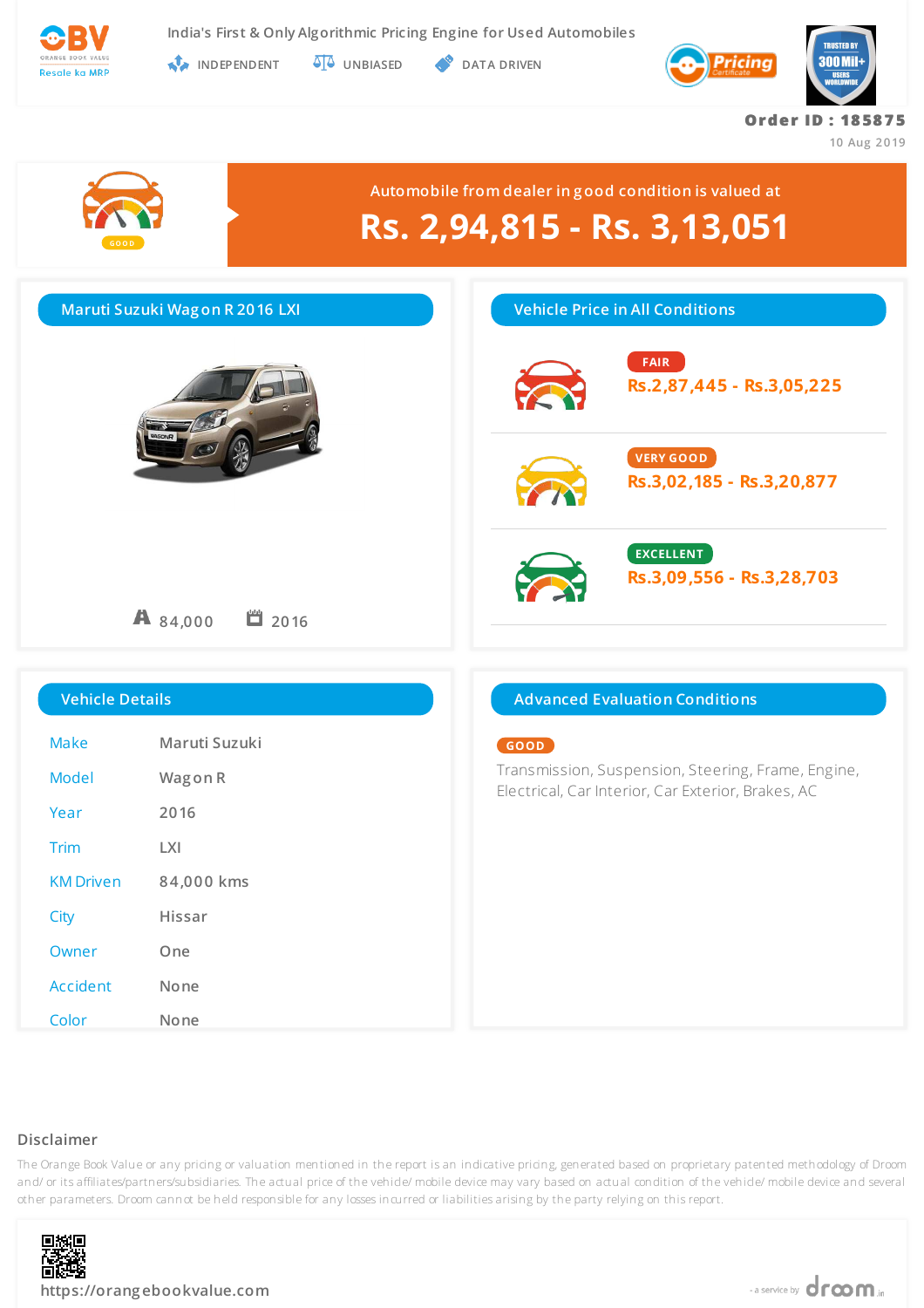

**INDEPENDENT UNBIASED DATA DRIVEN** 



**Or de r ID : 18 58 7 5**

**10 Aug 2019**



### **Disclaimer**

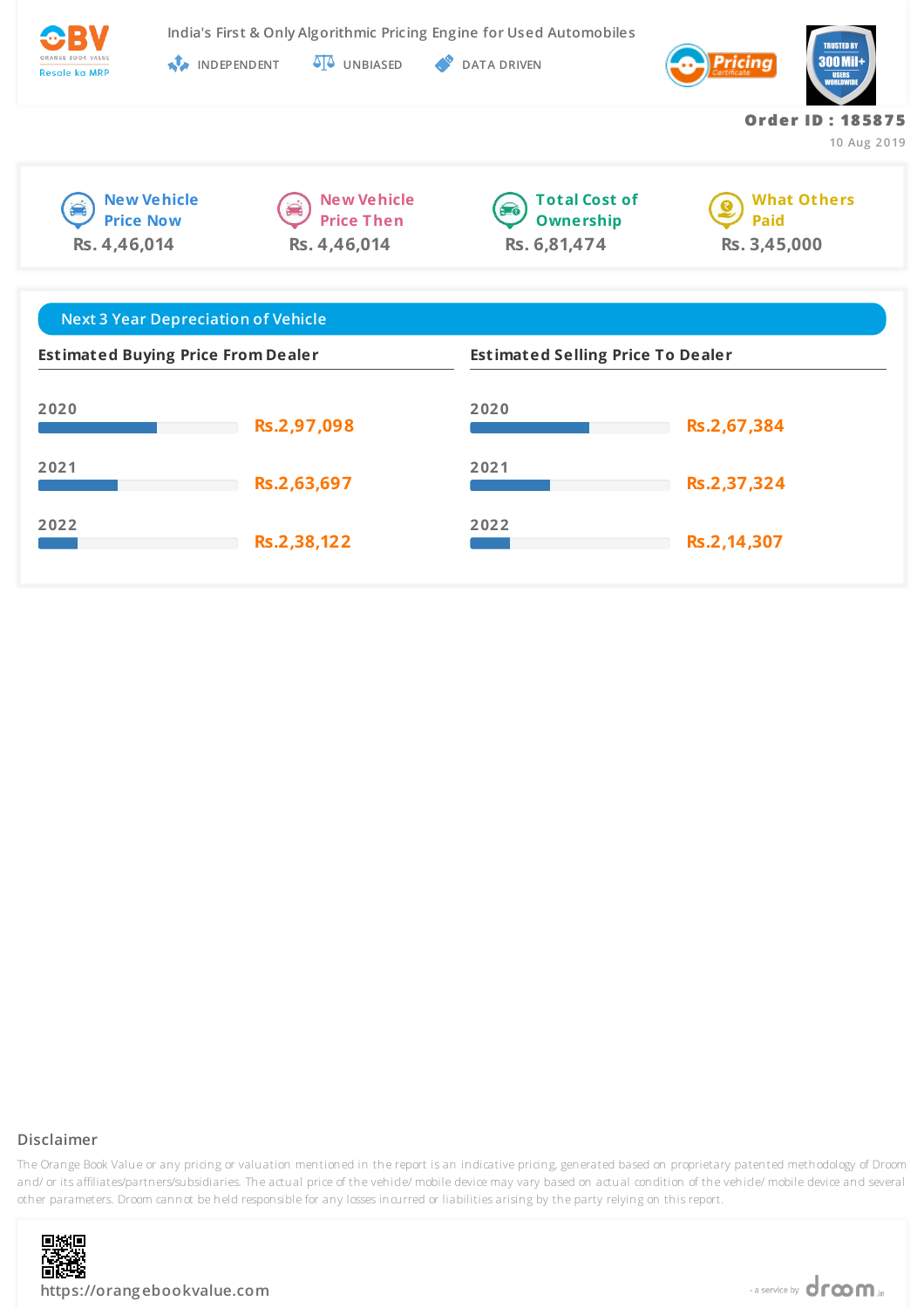

**India's First & Only Algorithmic Pricing Engine for Used Automobiles**

**INDEPENDENT UNBIASED DATA DRIVEN** 



**New Vehicle Price Now Rs. 4,46,014**





**What Others Paid Rs. 3,45,000**

**Or de r ID : 18 58 7 5**

**10 Aug 2019**

| <b>Next 3 Year Depreciation of Vehicle</b> |             |                                          |             |
|--------------------------------------------|-------------|------------------------------------------|-------------|
| <b>Estimated Buying Price From Dealer</b>  |             | <b>Estimated Selling Price To Dealer</b> |             |
| 2020                                       | Rs.2,97,098 | 2020                                     | Rs.2,67,384 |
| 2021                                       | Rs.2,63,697 | 2021                                     | Rs.2,37,324 |
| 2022                                       | Rs.2,38,122 | 2022                                     | Rs.2,14,307 |

## **Disclaimer**

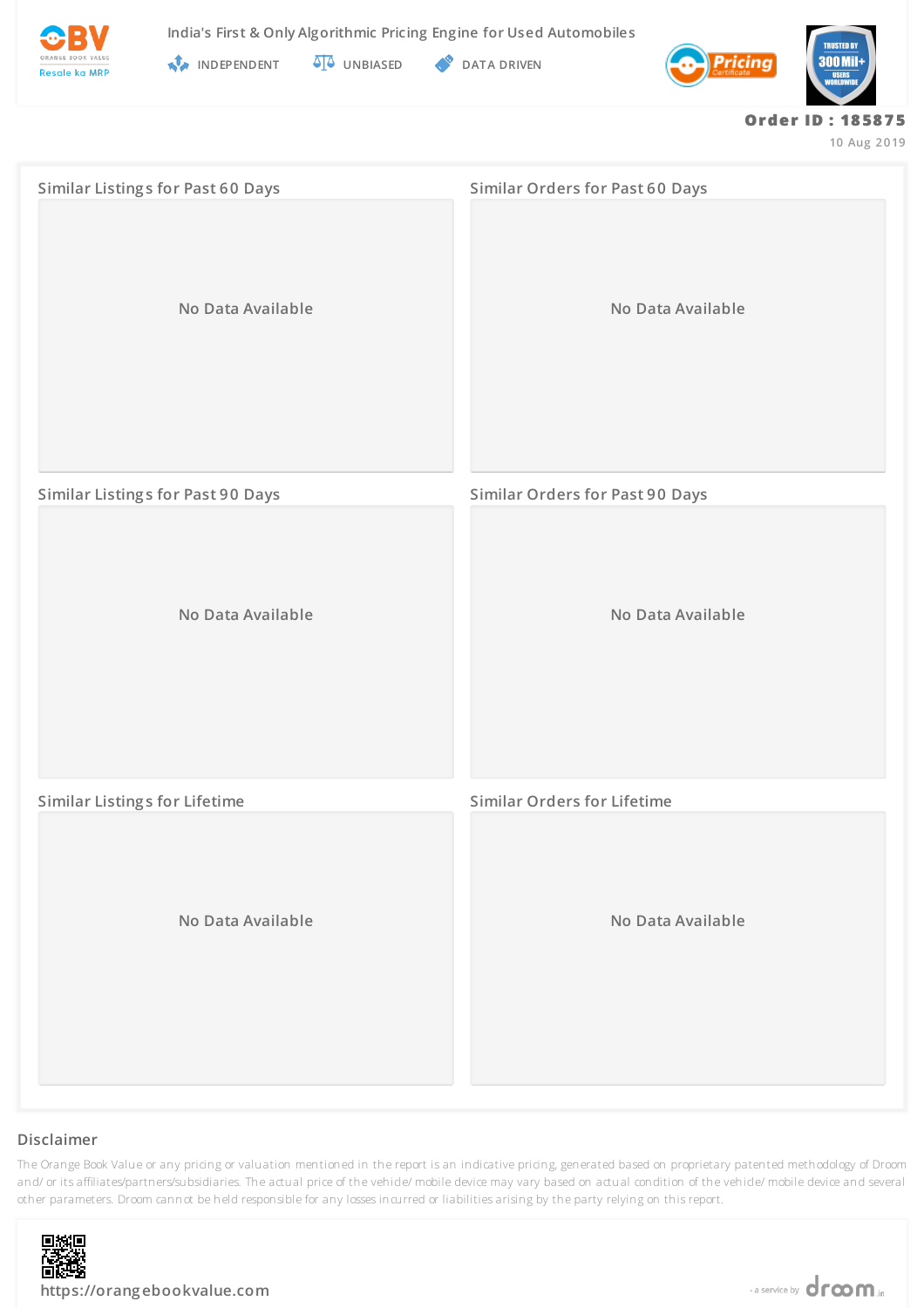



**INDEPENDENT UNBIASED DATA DRIVEN** 



#### **Or de r ID : 18 58 7 5**

**10 Aug 2019**

| <b>Similar Listings for Past 60 Days</b> | <b>Similar Orders for Past 60 Days</b> |  |
|------------------------------------------|----------------------------------------|--|
| No Data Available                        | No Data Available                      |  |
| <b>Similar Listings for Past 90 Days</b> | <b>Similar Orders for Past 90 Days</b> |  |
| No Data Available                        | No Data Available                      |  |
| <b>Similar Listings for Lifetime</b>     | <b>Similar Orders for Lifetime</b>     |  |
| No Data Available                        | No Data Available                      |  |

### **Disclaimer**

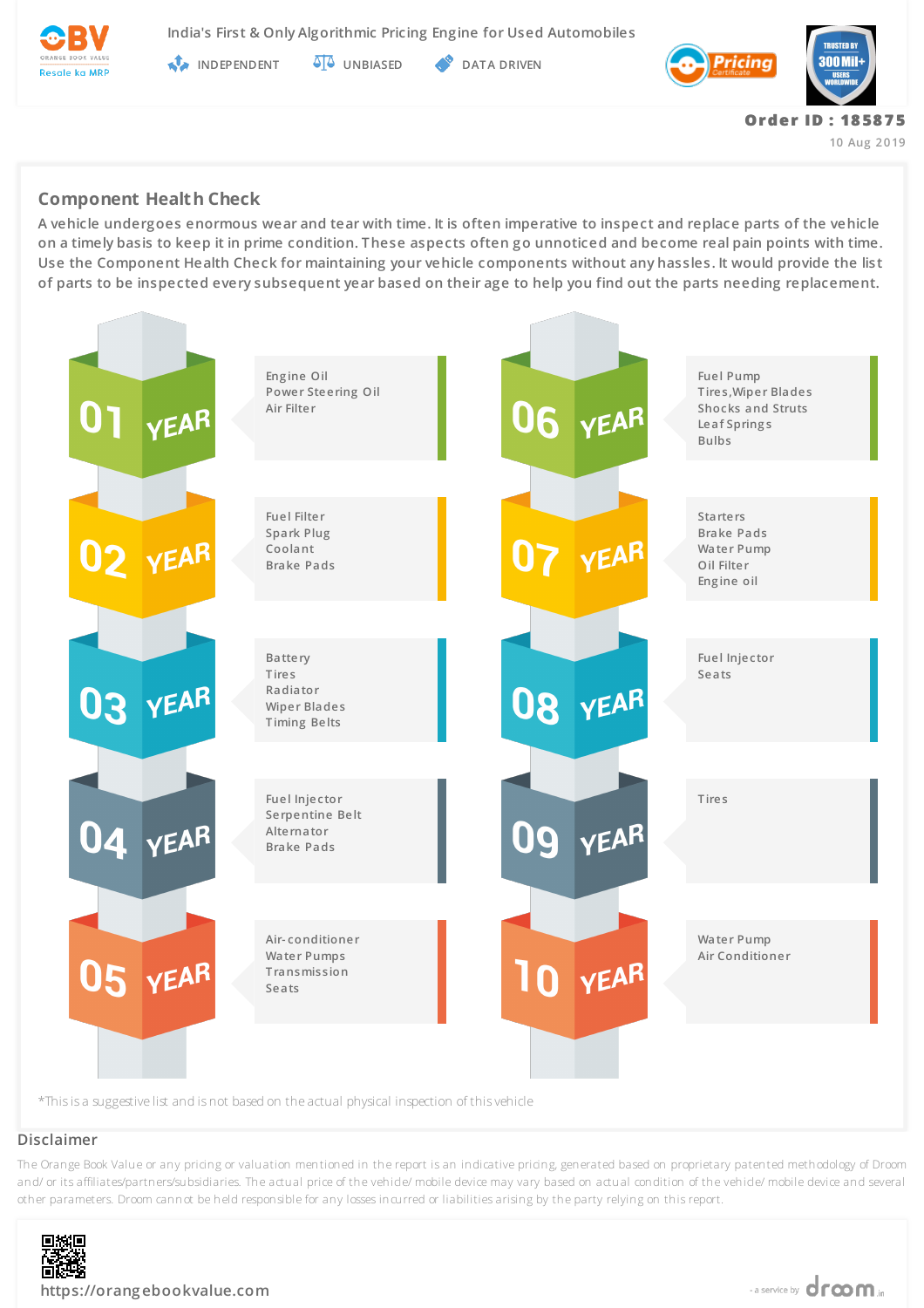

**India's First & Only Algorithmic Pricing Engine for Used Automobiles**

**INDEPENDENT AT UNBIASED PATA DRIVEN** 



**Or de r ID : 18 58 7 5 10 Aug 2019**

**Component Health Check**

**A vehicle undergoes enormous wear and tear with time. It is often imperative to inspect and replace parts of the vehicle on a timely basis to keep it in prime condition. These aspects often go unnoticed and become real pain points with time. Use the Component Health Check for maintaining your vehicle components without any hassles. It would provide the list of parts to be inspected every subsequent year based on their age to help you find out the parts needing replacement.**



### **Disclaimer**